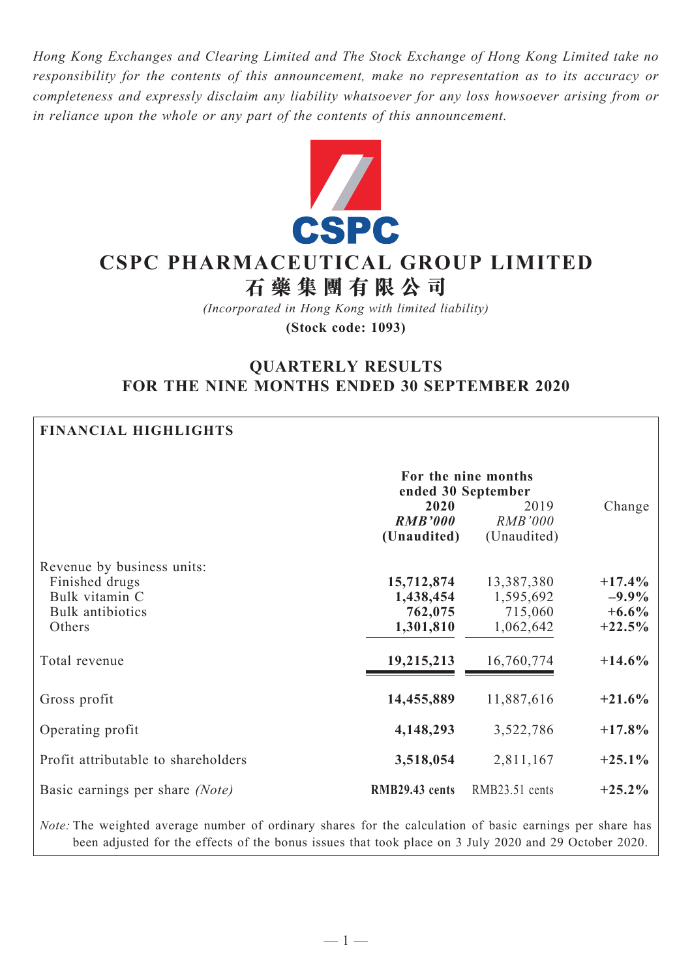*Hong Kong Exchanges and Clearing Limited and The Stock Exchange of Hong Kong Limited take no responsibility for the contents of this announcement, make no representation as to its accuracy or completeness and expressly disclaim any liability whatsoever for any loss howsoever arising from or in reliance upon the whole or any part of the contents of this announcement.*



# **CSPC Pharmaceutical Group Limited 石 藥 集 團 有 限 公 司**

*(Incorporated in Hong Kong with limited liability)* **(Stock code: 1093)**

## **QUARTERLY RESULTS FOR THE NINE MONTHS ENDED 30 SEPTEMBER 2020**

| <b>FINANCIAL HIGHLIGHTS</b>                                                                                                                                                                                              |                                                 |                                                 |                                              |  |  |
|--------------------------------------------------------------------------------------------------------------------------------------------------------------------------------------------------------------------------|-------------------------------------------------|-------------------------------------------------|----------------------------------------------|--|--|
|                                                                                                                                                                                                                          |                                                 | For the nine months<br>ended 30 September       |                                              |  |  |
|                                                                                                                                                                                                                          | 2020<br><b>RMB'000</b><br>(Unaudited)           | 2019<br><b>RMB'000</b><br>(Unaudited)           | Change                                       |  |  |
| Revenue by business units:<br>Finished drugs<br>Bulk vitamin C<br>Bulk antibiotics<br>Others                                                                                                                             | 15,712,874<br>1,438,454<br>762,075<br>1,301,810 | 13,387,380<br>1,595,692<br>715,060<br>1,062,642 | $+17.4%$<br>$-9.9\%$<br>$+6.6\%$<br>$+22.5%$ |  |  |
| Total revenue                                                                                                                                                                                                            | 19,215,213                                      | 16,760,774                                      | $+14.6%$                                     |  |  |
| Gross profit                                                                                                                                                                                                             | 14,455,889                                      | 11,887,616                                      | $+21.6%$                                     |  |  |
| Operating profit                                                                                                                                                                                                         | 4,148,293                                       | 3,522,786                                       | $+17.8%$                                     |  |  |
| Profit attributable to shareholders                                                                                                                                                                                      | 3,518,054                                       | 2,811,167                                       | $+25.1%$                                     |  |  |
| Basic earnings per share (Note)                                                                                                                                                                                          | RMB29.43 cents                                  | RMB23.51 cents                                  | $+25.2\%$                                    |  |  |
| <i>Note:</i> The weighted average number of ordinary shares for the calculation of basic earnings per share has<br>been adjusted for the effects of the bonus issues that took place on 3 July 2020 and 29 October 2020. |                                                 |                                                 |                                              |  |  |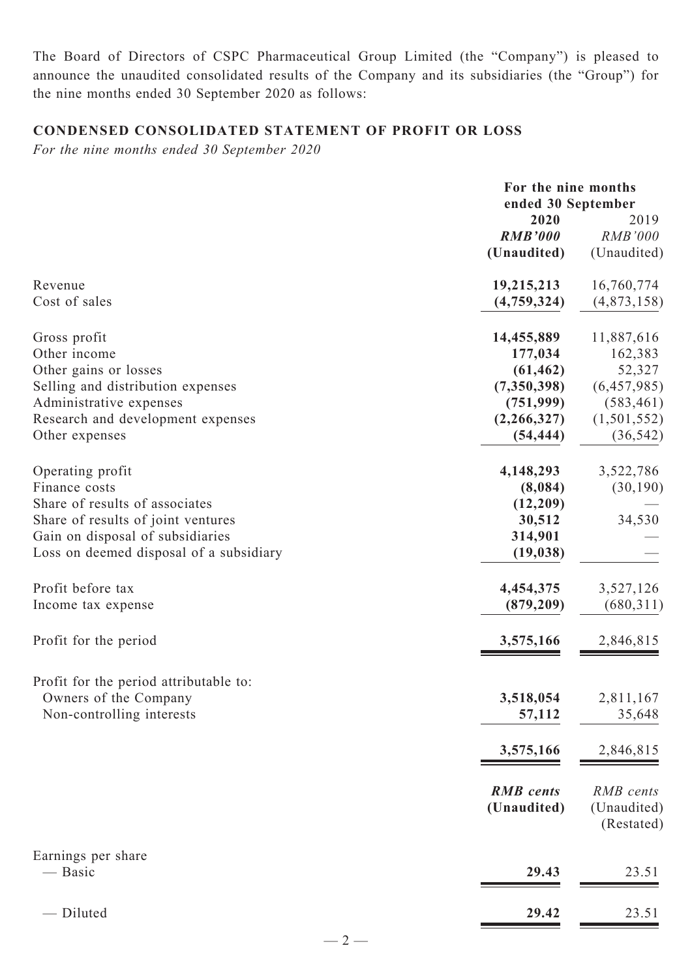The Board of Directors of CSPC Pharmaceutical Group Limited (the "Company") is pleased to announce the unaudited consolidated results of the Company and its subsidiaries (the "Group") for the nine months ended 30 September 2020 as follows:

## **CONDENSED CONSOLIDATED Statement of profit or loss**

*For the nine months ended 30 September 2020*

|                                                                                                                                                                                          |                                                                                             | For the nine months<br>ended 30 September                                                |  |
|------------------------------------------------------------------------------------------------------------------------------------------------------------------------------------------|---------------------------------------------------------------------------------------------|------------------------------------------------------------------------------------------|--|
|                                                                                                                                                                                          | 2020<br><b>RMB'000</b><br>(Unaudited)                                                       | 2019<br><b>RMB'000</b><br>(Unaudited)                                                    |  |
| Revenue<br>Cost of sales                                                                                                                                                                 | 19,215,213<br>(4,759,324)                                                                   | 16,760,774<br>(4,873,158)                                                                |  |
| Gross profit<br>Other income<br>Other gains or losses<br>Selling and distribution expenses<br>Administrative expenses<br>Research and development expenses<br>Other expenses             | 14,455,889<br>177,034<br>(61, 462)<br>(7,350,398)<br>(751, 999)<br>(2,266,327)<br>(54, 444) | 11,887,616<br>162,383<br>52,327<br>(6,457,985)<br>(583, 461)<br>(1,501,552)<br>(36, 542) |  |
| Operating profit<br>Finance costs<br>Share of results of associates<br>Share of results of joint ventures<br>Gain on disposal of subsidiaries<br>Loss on deemed disposal of a subsidiary | 4,148,293<br>(8,084)<br>(12,209)<br>30,512<br>314,901<br>(19, 038)                          | 3,522,786<br>(30,190)<br>34,530                                                          |  |
| Profit before tax<br>Income tax expense                                                                                                                                                  | 4,454,375<br>(879, 209)                                                                     | 3,527,126<br>(680, 311)                                                                  |  |
| Profit for the period                                                                                                                                                                    | 3,575,166                                                                                   | 2,846,815                                                                                |  |
| Profit for the period attributable to:<br>Owners of the Company<br>Non-controlling interests                                                                                             | 3,518,054<br>57,112                                                                         | 2,811,167<br>35,648                                                                      |  |
|                                                                                                                                                                                          | 3,575,166                                                                                   | 2,846,815                                                                                |  |
|                                                                                                                                                                                          | <b>RMB</b> cents<br>(Unaudited)                                                             | RMB cents<br>(Unaudited)<br>(Restated)                                                   |  |
| Earnings per share<br>— Basic                                                                                                                                                            | 29.43                                                                                       | 23.51                                                                                    |  |
| - Diluted                                                                                                                                                                                | 29.42                                                                                       | 23.51                                                                                    |  |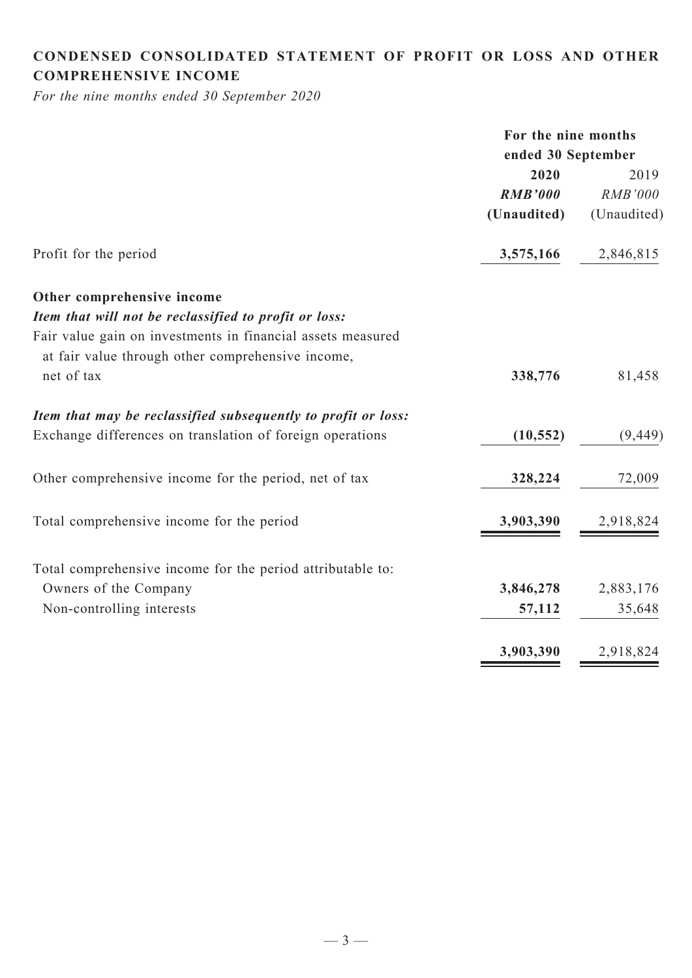## **CONDENSED CONSOLIDATED statement of Profit or Loss and Other comprehensive income**

*For the nine months ended 30 September 2020*

|                                                               | For the nine months |                |  |
|---------------------------------------------------------------|---------------------|----------------|--|
|                                                               | ended 30 September  |                |  |
|                                                               | 2020                | 2019           |  |
|                                                               | <b>RMB'000</b>      | <b>RMB'000</b> |  |
|                                                               | (Unaudited)         | (Unaudited)    |  |
| Profit for the period                                         | 3,575,166           | 2,846,815      |  |
| Other comprehensive income                                    |                     |                |  |
| Item that will not be reclassified to profit or loss:         |                     |                |  |
| Fair value gain on investments in financial assets measured   |                     |                |  |
| at fair value through other comprehensive income,             |                     |                |  |
| net of tax                                                    | 338,776             | 81,458         |  |
| Item that may be reclassified subsequently to profit or loss: |                     |                |  |
| Exchange differences on translation of foreign operations     | (10, 552)           | (9, 449)       |  |
| Other comprehensive income for the period, net of tax         | 328,224             | 72,009         |  |
| Total comprehensive income for the period                     | 3,903,390           | 2,918,824      |  |
| Total comprehensive income for the period attributable to:    |                     |                |  |
| Owners of the Company                                         | 3,846,278           | 2,883,176      |  |
| Non-controlling interests                                     | 57,112              | 35,648         |  |
|                                                               | 3,903,390           | 2,918,824      |  |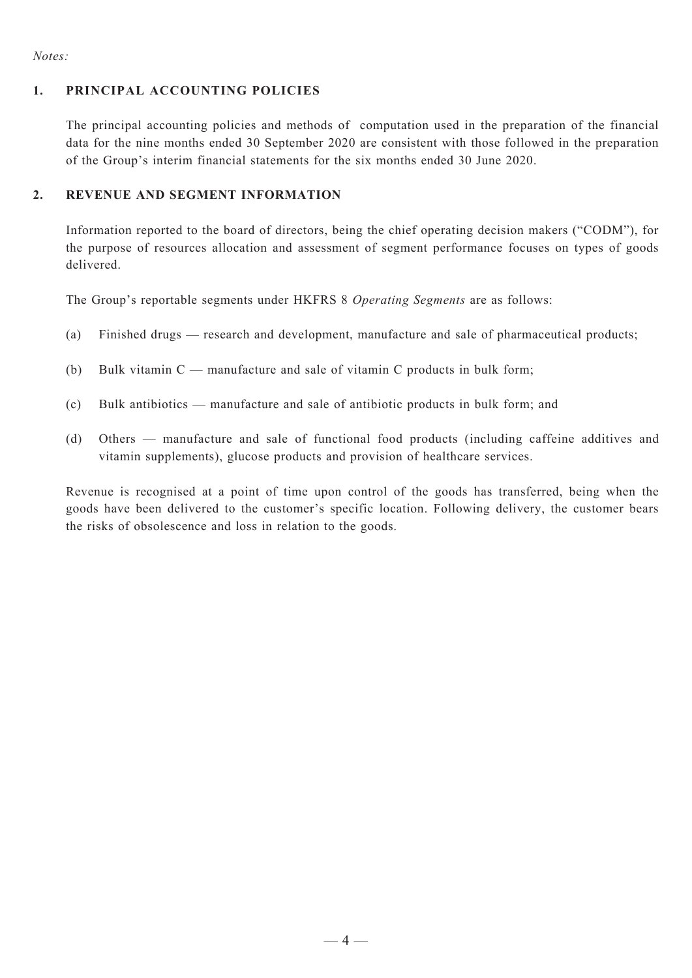#### *Notes:*

#### **1. Principal Accounting Policies**

The principal accounting policies and methods of computation used in the preparation of the financial data for the nine months ended 30 September 2020 are consistent with those followed in the preparation of the Group's interim financial statements for the six months ended 30 June 2020.

#### **2. REVENUE AND SEGMENT INFORMATION**

Information reported to the board of directors, being the chief operating decision makers ("CODM"), for the purpose of resources allocation and assessment of segment performance focuses on types of goods delivered.

The Group's reportable segments under HKFRS 8 *Operating Segments* are as follows:

- (a) Finished drugs research and development, manufacture and sale of pharmaceutical products;
- (b) Bulk vitamin  $C$  manufacture and sale of vitamin C products in bulk form;
- (c) Bulk antibiotics manufacture and sale of antibiotic products in bulk form; and
- (d) Others manufacture and sale of functional food products (including caffeine additives and vitamin supplements), glucose products and provision of healthcare services.

Revenue is recognised at a point of time upon control of the goods has transferred, being when the goods have been delivered to the customer's specific location. Following delivery, the customer bears the risks of obsolescence and loss in relation to the goods.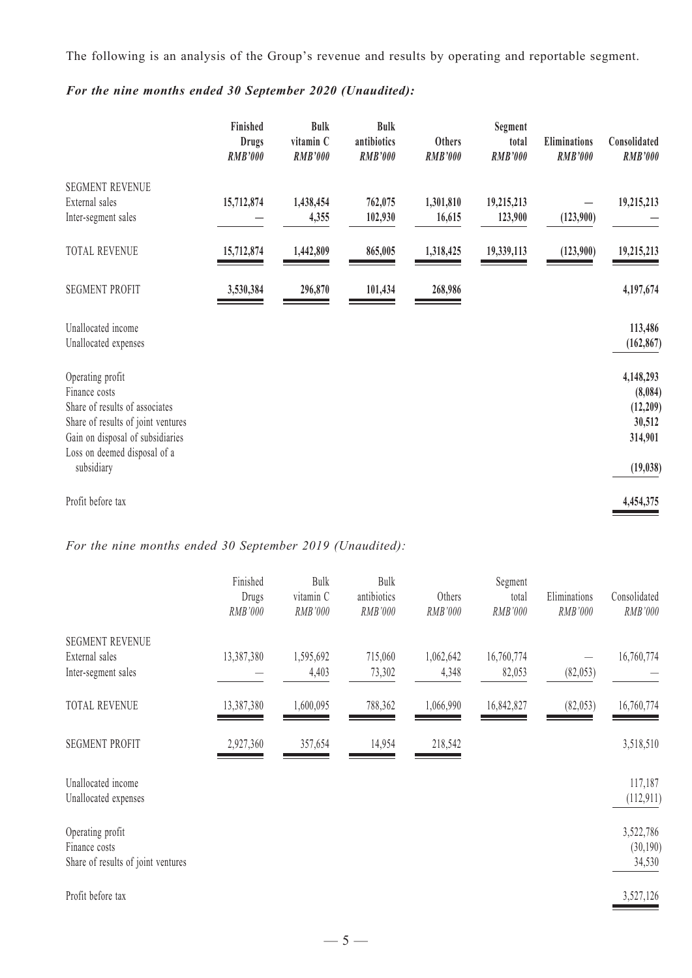The following is an analysis of the Group's revenue and results by operating and reportable segment.

|                                                                                                           | Finished<br><b>Drugs</b><br><b>RMB'000</b> | <b>Bulk</b><br>vitamin C<br><b>RMB'000</b> | <b>Bulk</b><br>antibiotics<br><b>RMB'000</b> | Others<br><b>RMB'000</b> | Segment<br>total<br><b>RMB'000</b> | <b>Eliminations</b><br><b>RMB'000</b> | Consolidated<br><b>RMB'000</b>             |
|-----------------------------------------------------------------------------------------------------------|--------------------------------------------|--------------------------------------------|----------------------------------------------|--------------------------|------------------------------------|---------------------------------------|--------------------------------------------|
| <b>SEGMENT REVENUE</b><br>External sales                                                                  | 15,712,874                                 | 1,438,454                                  | 762,075                                      | 1,301,810                | 19,215,213                         |                                       | 19,215,213                                 |
| Inter-segment sales                                                                                       |                                            | 4,355                                      | 102,930                                      | 16,615                   | 123,900                            | (123,900)                             |                                            |
| TOTAL REVENUE                                                                                             | 15,712,874                                 | 1,442,809                                  | 865,005                                      | 1,318,425                | 19,339,113                         | (123,900)                             | 19,215,213                                 |
| <b>SEGMENT PROFIT</b>                                                                                     | 3,530,384                                  | 296,870                                    | 101,434                                      | 268,986                  |                                    |                                       | 4,197,674                                  |
| Unallocated income                                                                                        |                                            |                                            |                                              |                          |                                    |                                       | 113,486                                    |
| Unallocated expenses                                                                                      |                                            |                                            |                                              |                          |                                    |                                       | (162, 867)                                 |
| Operating profit<br>Finance costs<br>Share of results of associates<br>Share of results of joint ventures |                                            |                                            |                                              |                          |                                    |                                       | 4,148,293<br>(8,084)<br>(12,209)<br>30,512 |
| Gain on disposal of subsidiaries<br>Loss on deemed disposal of a                                          |                                            |                                            |                                              |                          |                                    |                                       | 314,901                                    |
| subsidiary                                                                                                |                                            |                                            |                                              |                          |                                    |                                       | (19, 038)                                  |
| Profit before tax                                                                                         |                                            |                                            |                                              |                          |                                    |                                       | 4,454,375                                  |

*For the nine months ended 30 September 2020 (Unaudited):*

*For the nine months ended 30 September 2019 (Unaudited):*

|                                            | Finished<br>Drugs | Bulk<br>vitamin C | Bulk<br>antibiotics | Others    | Segment<br>total | Eliminations | Consolidated          |
|--------------------------------------------|-------------------|-------------------|---------------------|-----------|------------------|--------------|-----------------------|
|                                            | RMB'000           | RMB'000           | RMB'000             | RMB'000   | RMB'000          | RMB'000      | RMB'000               |
| <b>SEGMENT REVENUE</b>                     |                   |                   |                     |           |                  |              |                       |
| External sales                             | 13,387,380        | 1,595,692         | 715,060             | 1,062,642 | 16,760,774       |              | 16,760,774            |
| Inter-segment sales                        |                   | 4,403             | 73,302              | 4,348     | 82,053           | (82,053)     |                       |
| TOTAL REVENUE                              | 13,387,380        | 1,600,095         | 788,362             | 1,066,990 | 16,842,827       | (82,053)     | 16,760,774            |
| <b>SEGMENT PROFIT</b>                      | 2,927,360         | 357,654           | 14,954              | 218,542   |                  |              | 3,518,510             |
| Unallocated income<br>Unallocated expenses |                   |                   |                     |           |                  |              | 117,187<br>(112, 911) |
| Operating profit<br>Finance costs          |                   |                   |                     |           |                  |              | 3,522,786<br>(30,190) |
| Share of results of joint ventures         |                   |                   |                     |           |                  |              | 34,530                |
| Profit before tax                          |                   |                   |                     |           |                  |              | 3,527,126             |
|                                            |                   |                   |                     |           |                  |              |                       |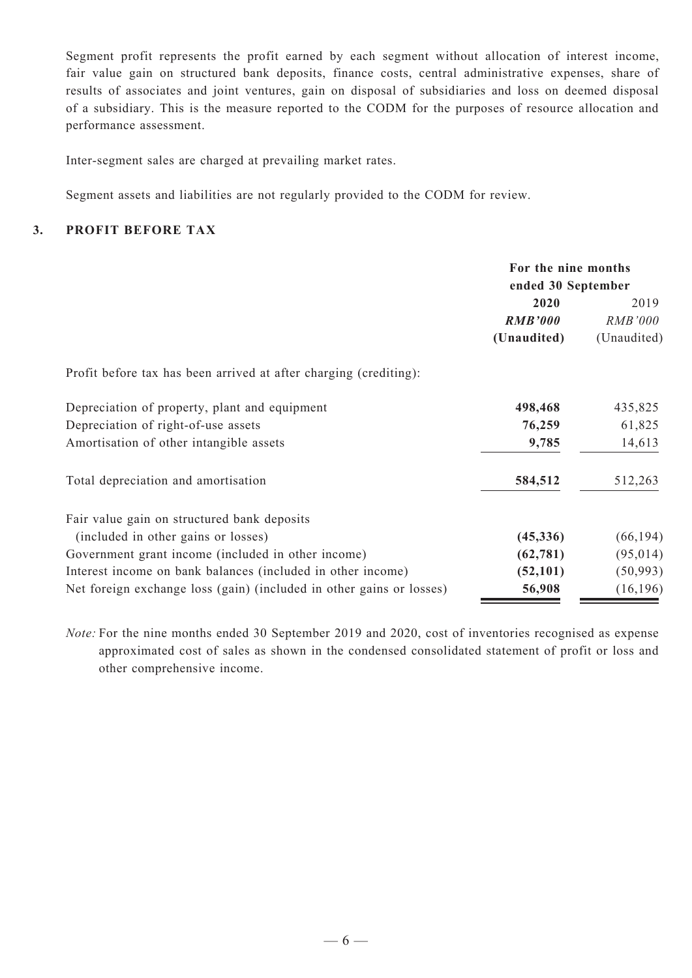Segment profit represents the profit earned by each segment without allocation of interest income, fair value gain on structured bank deposits, finance costs, central administrative expenses, share of results of associates and joint ventures, gain on disposal of subsidiaries and loss on deemed disposal of a subsidiary. This is the measure reported to the CODM for the purposes of resource allocation and performance assessment.

Inter-segment sales are charged at prevailing market rates.

Segment assets and liabilities are not regularly provided to the CODM for review.

#### **3. Profit Before Tax**

|                                                                      | For the nine months<br>ended 30 September |                |  |
|----------------------------------------------------------------------|-------------------------------------------|----------------|--|
|                                                                      | 2020                                      | 2019           |  |
|                                                                      | <b>RMB'000</b>                            | <i>RMB'000</i> |  |
|                                                                      | (Unaudited)                               | (Unaudited)    |  |
| Profit before tax has been arrived at after charging (crediting):    |                                           |                |  |
| Depreciation of property, plant and equipment                        | 498,468                                   | 435,825        |  |
| Depreciation of right-of-use assets                                  | 76,259                                    | 61,825         |  |
| Amortisation of other intangible assets                              | 9,785                                     | 14,613         |  |
| Total depreciation and amortisation                                  | 584,512                                   | 512,263        |  |
| Fair value gain on structured bank deposits                          |                                           |                |  |
| (included in other gains or losses)                                  | (45, 336)                                 | (66, 194)      |  |
| Government grant income (included in other income)                   | (62, 781)                                 | (95, 014)      |  |
| Interest income on bank balances (included in other income)          | (52, 101)                                 | (50, 993)      |  |
| Net foreign exchange loss (gain) (included in other gains or losses) | 56,908                                    | (16, 196)      |  |

*Note:* For the nine months ended 30 September 2019 and 2020, cost of inventories recognised as expense approximated cost of sales as shown in the condensed consolidated statement of profit or loss and other comprehensive income.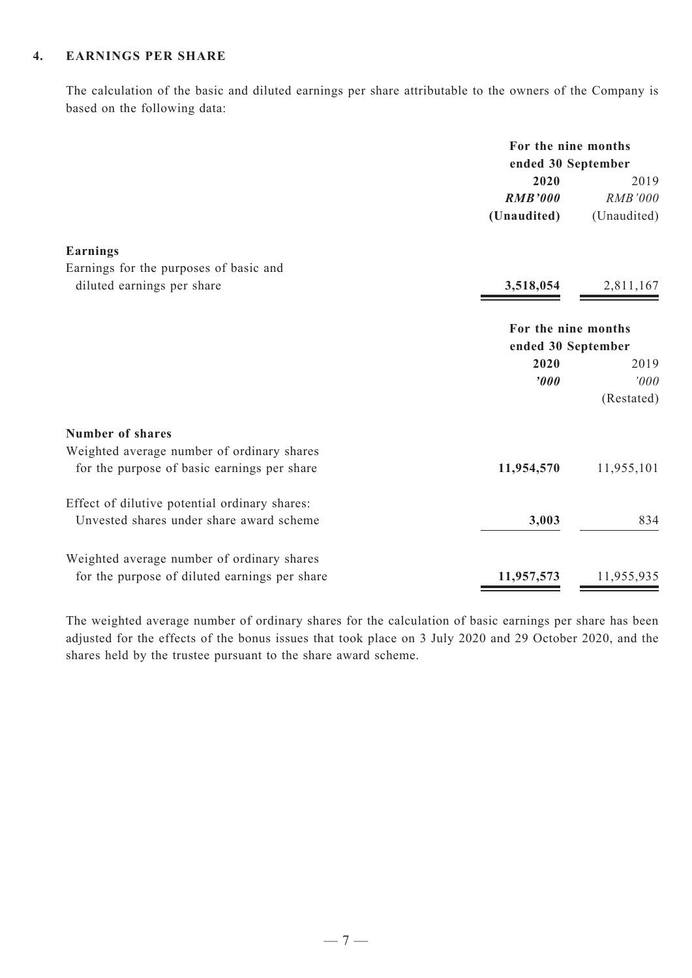#### **4. Earnings Per Share**

The calculation of the basic and diluted earnings per share attributable to the owners of the Company is based on the following data:

| 2020<br><b>RMB'000</b><br>(Unaudited)<br><b>Earnings</b><br>Earnings for the purposes of basic and<br>diluted earnings per share<br>3,518,054<br>For the nine months<br>ended 30 September<br>2020<br>$\boldsymbol{v}$<br><b>Number of shares</b><br>Weighted average number of ordinary shares<br>for the purpose of basic earnings per share<br>11,954,570<br>Effect of dilutive potential ordinary shares:<br>Unvested shares under share award scheme<br>3,003<br>Weighted average number of ordinary shares |                                               | For the nine months<br>ended 30 September |             |
|------------------------------------------------------------------------------------------------------------------------------------------------------------------------------------------------------------------------------------------------------------------------------------------------------------------------------------------------------------------------------------------------------------------------------------------------------------------------------------------------------------------|-----------------------------------------------|-------------------------------------------|-------------|
|                                                                                                                                                                                                                                                                                                                                                                                                                                                                                                                  |                                               |                                           | 2019        |
|                                                                                                                                                                                                                                                                                                                                                                                                                                                                                                                  |                                               |                                           | RMB'000     |
|                                                                                                                                                                                                                                                                                                                                                                                                                                                                                                                  |                                               |                                           | (Unaudited) |
|                                                                                                                                                                                                                                                                                                                                                                                                                                                                                                                  |                                               |                                           |             |
|                                                                                                                                                                                                                                                                                                                                                                                                                                                                                                                  |                                               |                                           |             |
|                                                                                                                                                                                                                                                                                                                                                                                                                                                                                                                  |                                               |                                           | 2,811,167   |
|                                                                                                                                                                                                                                                                                                                                                                                                                                                                                                                  |                                               |                                           |             |
|                                                                                                                                                                                                                                                                                                                                                                                                                                                                                                                  |                                               |                                           |             |
|                                                                                                                                                                                                                                                                                                                                                                                                                                                                                                                  |                                               |                                           | 2019        |
|                                                                                                                                                                                                                                                                                                                                                                                                                                                                                                                  |                                               |                                           | '000        |
|                                                                                                                                                                                                                                                                                                                                                                                                                                                                                                                  |                                               |                                           | (Restated)  |
|                                                                                                                                                                                                                                                                                                                                                                                                                                                                                                                  |                                               |                                           |             |
|                                                                                                                                                                                                                                                                                                                                                                                                                                                                                                                  |                                               |                                           |             |
|                                                                                                                                                                                                                                                                                                                                                                                                                                                                                                                  |                                               |                                           | 11,955,101  |
|                                                                                                                                                                                                                                                                                                                                                                                                                                                                                                                  |                                               |                                           |             |
|                                                                                                                                                                                                                                                                                                                                                                                                                                                                                                                  |                                               |                                           | 834         |
|                                                                                                                                                                                                                                                                                                                                                                                                                                                                                                                  |                                               |                                           |             |
|                                                                                                                                                                                                                                                                                                                                                                                                                                                                                                                  | for the purpose of diluted earnings per share | 11,957,573                                | 11,955,935  |

The weighted average number of ordinary shares for the calculation of basic earnings per share has been adjusted for the effects of the bonus issues that took place on 3 July 2020 and 29 October 2020, and the shares held by the trustee pursuant to the share award scheme.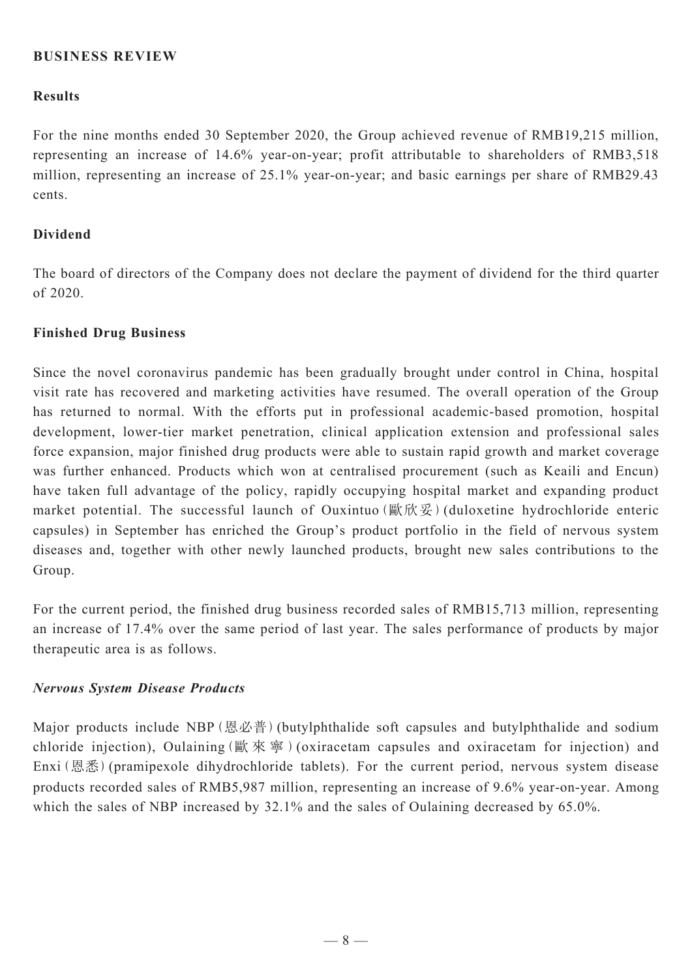### **BUSINESS REVIEW**

#### **Results**

For the nine months ended 30 September 2020, the Group achieved revenue of RMB19,215 million, representing an increase of 14.6% year-on-year; profit attributable to shareholders of RMB3,518 million, representing an increase of 25.1% year-on-year; and basic earnings per share of RMB29.43 cents.

#### **Dividend**

The board of directors of the Company does not declare the payment of dividend for the third quarter of 2020.

#### **Finished Drug Business**

Since the novel coronavirus pandemic has been gradually brought under control in China, hospital visit rate has recovered and marketing activities have resumed. The overall operation of the Group has returned to normal. With the efforts put in professional academic-based promotion, hospital development, lower-tier market penetration, clinical application extension and professional sales force expansion, major finished drug products were able to sustain rapid growth and market coverage was further enhanced. Products which won at centralised procurement (such as Keaili and Encun) have taken full advantage of the policy, rapidly occupying hospital market and expanding product market potential. The successful launch of Ouxintuo (歐欣妥) (duloxetine hydrochloride enteric capsules) in September has enriched the Group's product portfolio in the field of nervous system diseases and, together with other newly launched products, brought new sales contributions to the Group.

For the current period, the finished drug business recorded sales of RMB15,713 million, representing an increase of 17.4% over the same period of last year. The sales performance of products by major therapeutic area is as follows.

#### *Nervous System Disease Products*

Major products include NBP (恩必普) (butylphthalide soft capsules and butylphthalide and sodium chloride injection), Oulaining(歐 來 寧 )(oxiracetam capsules and oxiracetam for injection) and Enxi(恩悉)(pramipexole dihydrochloride tablets). For the current period, nervous system disease products recorded sales of RMB5,987 million, representing an increase of 9.6% year-on-year. Among which the sales of NBP increased by 32.1% and the sales of Oulaining decreased by 65.0%.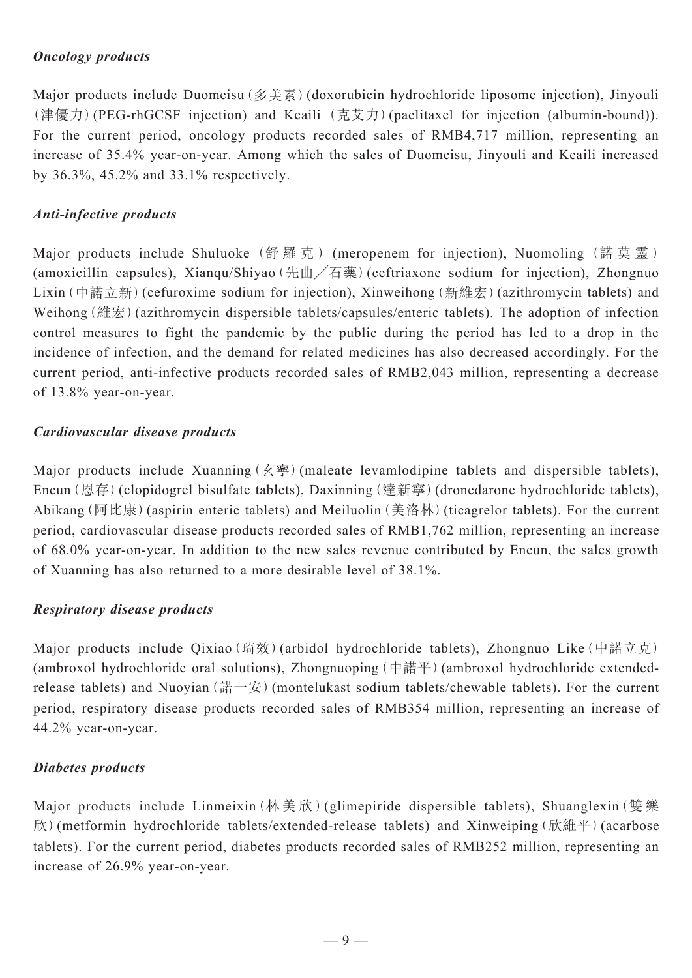### *Oncology products*

Major products include Duomeisu (多美素) (doxorubicin hydrochloride liposome injection), Jinyouli (津優力)(PEG-rhGCSF injection) and Keaili (克艾力)(paclitaxel for injection (albumin-bound)). For the current period, oncology products recorded sales of RMB4,717 million, representing an increase of 35.4% year-on-year. Among which the sales of Duomeisu, Jinyouli and Keaili increased by 36.3%, 45.2% and 33.1% respectively.

## *Anti-infective products*

Major products include Shuluoke (舒羅克) (meropenem for injection), Nuomoling (諾莫靈) (amoxicillin capsules), Xianqu/Shiyao(先曲╱石藥)(ceftriaxone sodium for injection), Zhongnuo Lixin(中諾立新)(cefuroxime sodium for injection), Xinweihong(新維宏)(azithromycin tablets) and Weihong (維宏) (azithromycin dispersible tablets/capsules/enteric tablets). The adoption of infection control measures to fight the pandemic by the public during the period has led to a drop in the incidence of infection, and the demand for related medicines has also decreased accordingly. For the current period, anti-infective products recorded sales of RMB2,043 million, representing a decrease of 13.8% year-on-year.

## *Cardiovascular disease products*

Major products include Xuanning(玄寧)(maleate levamlodipine tablets and dispersible tablets), Encun(恩存)(clopidogrel bisulfate tablets), Daxinning(達新寧)(dronedarone hydrochloride tablets), Abikang(阿比康)(aspirin enteric tablets) and Meiluolin(美洛林)(ticagrelor tablets). For the current period, cardiovascular disease products recorded sales of RMB1,762 million, representing an increase of 68.0% year-on-year. In addition to the new sales revenue contributed by Encun, the sales growth of Xuanning has also returned to a more desirable level of 38.1%.

## *Respiratory disease products*

Major products include Qixiao(琦效)(arbidol hydrochloride tablets), Zhongnuo Like(中諾立克) (ambroxol hydrochloride oral solutions), Zhongnuoping (中諾平) (ambroxol hydrochloride extendedrelease tablets) and Nuoyian(諾一安)(montelukast sodium tablets/chewable tablets). For the current period, respiratory disease products recorded sales of RMB354 million, representing an increase of 44.2% year-on-year.

## *Diabetes products*

Major products include Linmeixin(林美欣)(glimepiride dispersible tablets), Shuanglexin(雙樂 欣)(metformin hydrochloride tablets/extended-release tablets) and Xinweiping(欣維平)(acarbose tablets). For the current period, diabetes products recorded sales of RMB252 million, representing an increase of 26.9% year-on-year.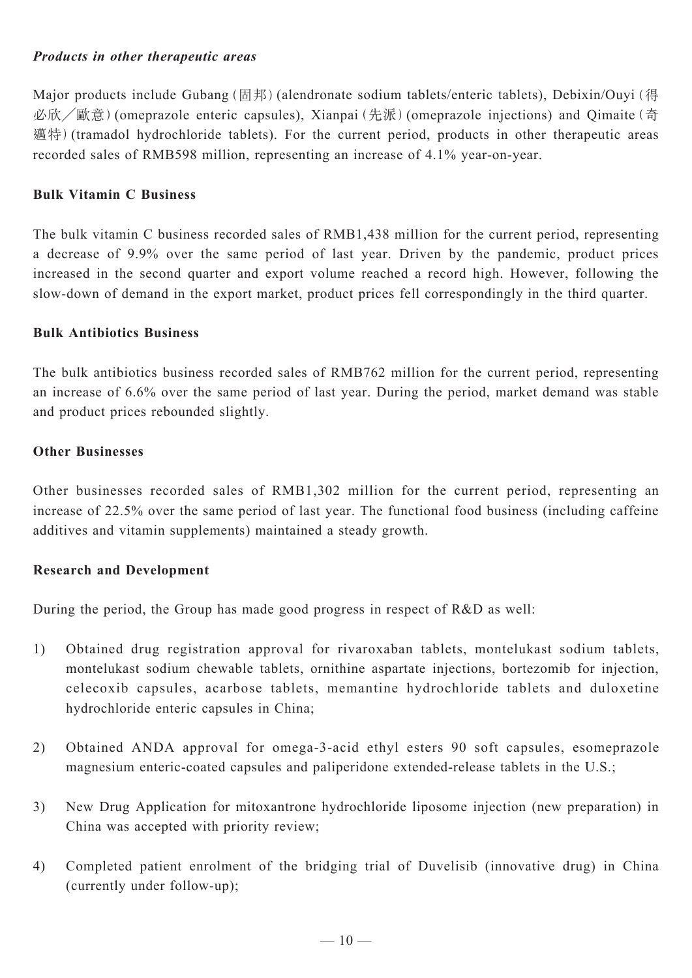### *Products in other therapeutic areas*

Major products include Gubang (固邦) (alendronate sodium tablets/enteric tablets), Debixin/Ouyi (得 必欣╱歐意)(omeprazole enteric capsules), Xianpai(先派)(omeprazole injections) and Qimaite(奇 邁特)(tramadol hydrochloride tablets). For the current period, products in other therapeutic areas recorded sales of RMB598 million, representing an increase of 4.1% year-on-year.

#### **Bulk Vitamin C Business**

The bulk vitamin C business recorded sales of RMB1,438 million for the current period, representing a decrease of 9.9% over the same period of last year. Driven by the pandemic, product prices increased in the second quarter and export volume reached a record high. However, following the slow-down of demand in the export market, product prices fell correspondingly in the third quarter.

#### **Bulk Antibiotics Business**

The bulk antibiotics business recorded sales of RMB762 million for the current period, representing an increase of 6.6% over the same period of last year. During the period, market demand was stable and product prices rebounded slightly.

#### **Other Businesses**

Other businesses recorded sales of RMB1,302 million for the current period, representing an increase of 22.5% over the same period of last year. The functional food business (including caffeine additives and vitamin supplements) maintained a steady growth.

### **Research and Development**

During the period, the Group has made good progress in respect of R&D as well:

- 1) Obtained drug registration approval for rivaroxaban tablets, montelukast sodium tablets, montelukast sodium chewable tablets, ornithine aspartate injections, bortezomib for injection, celecoxib capsules, acarbose tablets, memantine hydrochloride tablets and duloxetine hydrochloride enteric capsules in China;
- 2) Obtained ANDA approval for omega-3-acid ethyl esters 90 soft capsules, esomeprazole magnesium enteric-coated capsules and paliperidone extended-release tablets in the U.S.;
- 3) New Drug Application for mitoxantrone hydrochloride liposome injection (new preparation) in China was accepted with priority review;
- 4) Completed patient enrolment of the bridging trial of Duvelisib (innovative drug) in China (currently under follow-up);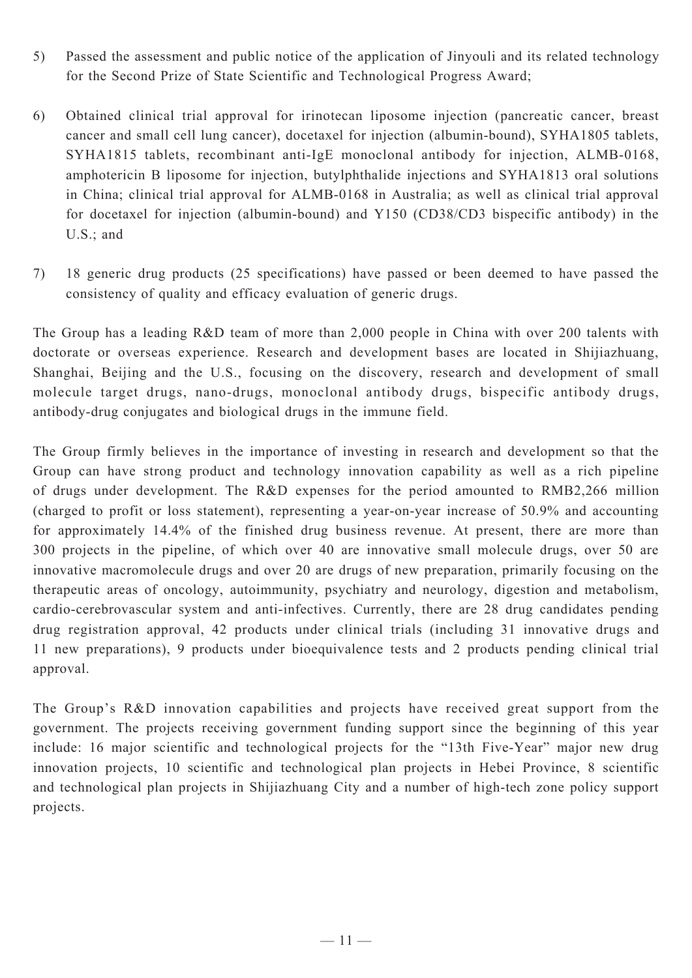- 5) Passed the assessment and public notice of the application of Jinyouli and its related technology for the Second Prize of State Scientific and Technological Progress Award;
- 6) Obtained clinical trial approval for irinotecan liposome injection (pancreatic cancer, breast cancer and small cell lung cancer), docetaxel for injection (albumin-bound), SYHA1805 tablets, SYHA1815 tablets, recombinant anti-IgE monoclonal antibody for injection, ALMB-0168, amphotericin B liposome for injection, butylphthalide injections and SYHA1813 oral solutions in China; clinical trial approval for ALMB-0168 in Australia; as well as clinical trial approval for docetaxel for injection (albumin-bound) and Y150 (CD38/CD3 bispecific antibody) in the U.S.; and
- 7) 18 generic drug products (25 specifications) have passed or been deemed to have passed the consistency of quality and efficacy evaluation of generic drugs.

The Group has a leading R&D team of more than 2,000 people in China with over 200 talents with doctorate or overseas experience. Research and development bases are located in Shijiazhuang, Shanghai, Beijing and the U.S., focusing on the discovery, research and development of small molecule target drugs, nano-drugs, monoclonal antibody drugs, bispecific antibody drugs, antibody-drug conjugates and biological drugs in the immune field.

The Group firmly believes in the importance of investing in research and development so that the Group can have strong product and technology innovation capability as well as a rich pipeline of drugs under development. The R&D expenses for the period amounted to RMB2,266 million (charged to profit or loss statement), representing a year-on-year increase of 50.9% and accounting for approximately 14.4% of the finished drug business revenue. At present, there are more than 300 projects in the pipeline, of which over 40 are innovative small molecule drugs, over 50 are innovative macromolecule drugs and over 20 are drugs of new preparation, primarily focusing on the therapeutic areas of oncology, autoimmunity, psychiatry and neurology, digestion and metabolism, cardio-cerebrovascular system and anti-infectives. Currently, there are 28 drug candidates pending drug registration approval, 42 products under clinical trials (including 31 innovative drugs and 11 new preparations), 9 products under bioequivalence tests and 2 products pending clinical trial approval.

The Group's R&D innovation capabilities and projects have received great support from the government. The projects receiving government funding support since the beginning of this year include: 16 major scientific and technological projects for the "13th Five-Year" major new drug innovation projects, 10 scientific and technological plan projects in Hebei Province, 8 scientific and technological plan projects in Shijiazhuang City and a number of high-tech zone policy support projects.